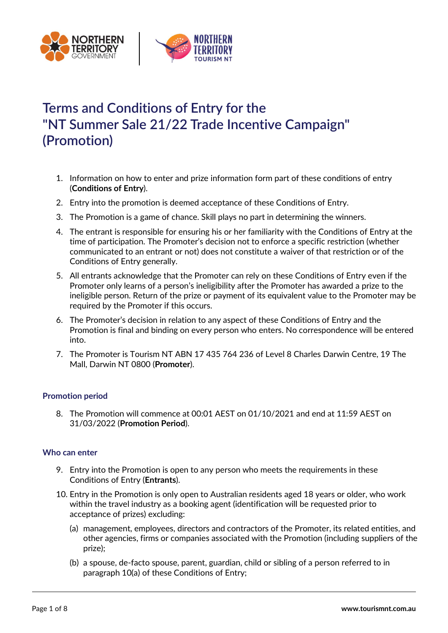



# Terms and Conditions of Entry for the "NT Summer Sale 21/22 Trade Incentive Campaign" (Promotion)

- 1. Information on how to enter and prize information form part of these conditions of entry (Conditions of Entry).
- 2. Entry into the promotion is deemed acceptance of these Conditions of Entry.
- 3. The Promotion is a game of chance. Skill plays no part in determining the winners.
- 4. The entrant is responsible for ensuring his or her familiarity with the Conditions of Entry at the time of participation. The Promoter's decision not to enforce a specific restriction (whether communicated to an entrant or not) does not constitute a waiver of that restriction or of the Conditions of Entry generally.
- 5. All entrants acknowledge that the Promoter can rely on these Conditions of Entry even if the Promoter only learns of a person's ineligibility after the Promoter has awarded a prize to the ineligible person. Return of the prize or payment of its equivalent value to the Promoter may be required by the Promoter if this occurs.
- 6. The Promoter's decision in relation to any aspect of these Conditions of Entry and the Promotion is final and binding on every person who enters. No correspondence will be entered into.
- 7. The Promoter is Tourism NT ABN 17 435 764 236 of Level 8 Charles Darwin Centre, 19 The Mall, Darwin NT 0800 (Promoter).

# Promotion period

8. The Promotion will commence at 00:01 AEST on 01/10/2021 and end at 11:59 AEST on 31/03/2022 (Promotion Period).

# Who can enter

- 9. Entry into the Promotion is open to any person who meets the requirements in these Conditions of Entry (Entrants).
- 10. Entry in the Promotion is only open to Australian residents aged 18 years or older, who work within the travel industry as a booking agent (identification will be requested prior to acceptance of prizes) excluding:
	- (a) management, employees, directors and contractors of the Promoter, its related entities, and other agencies, firms or companies associated with the Promotion (including suppliers of the prize);
	- (b) a spouse, de-facto spouse, parent, guardian, child or sibling of a person referred to in paragraph 10(a) of these Conditions of Entry;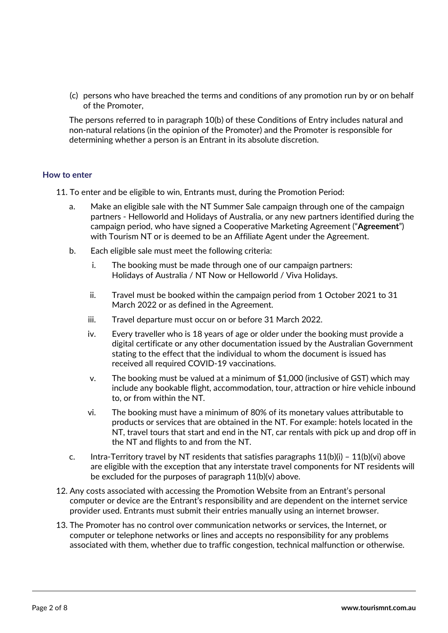(c) persons who have breached the terms and conditions of any promotion run by or on behalf of the Promoter,

The persons referred to in paragraph 10(b) of these Conditions of Entry includes natural and non-natural relations (in the opinion of the Promoter) and the Promoter is responsible for determining whether a person is an Entrant in its absolute discretion.

# How to enter

- 11. To enter and be eligible to win, Entrants must, during the Promotion Period:
	- a. Make an eligible sale with the NT Summer Sale campaign through one of the campaign partners - Helloworld and Holidays of Australia, or any new partners identified during the campaign period, who have signed a Cooperative Marketing Agreement ("Agreement") with Tourism NT or is deemed to be an Affiliate Agent under the Agreement.
	- b. Each eligible sale must meet the following criteria:
		- i. The booking must be made through one of our campaign partners: Holidays of Australia / NT Now or Helloworld / Viva Holidays.
		- ii. Travel must be booked within the campaign period from 1 October 2021 to 31 March 2022 or as defined in the Agreement.
		- iii. Travel departure must occur on or before 31 March 2022.
		- iv. Every traveller who is 18 years of age or older under the booking must provide a digital certificate or any other documentation issued by the Australian Government stating to the effect that the individual to whom the document is issued has received all required COVID-19 vaccinations.
		- v. The booking must be valued at a minimum of \$1,000 (inclusive of GST) which may include any bookable flight, accommodation, tour, attraction or hire vehicle inbound to, or from within the NT.
		- vi. The booking must have a minimum of 80% of its monetary values attributable to products or services that are obtained in the NT. For example: hotels located in the NT, travel tours that start and end in the NT, car rentals with pick up and drop off in the NT and flights to and from the NT.
	- c. Intra-Territory travel by NT residents that satisfies paragraphs  $11(b)(i) 11(b)(vi)$  above are eligible with the exception that any interstate travel components for NT residents will be excluded for the purposes of paragraph 11(b)(v) above.
- 12. Any costs associated with accessing the Promotion Website from an Entrant's personal computer or device are the Entrant's responsibility and are dependent on the internet service provider used. Entrants must submit their entries manually using an internet browser.
- 13. The Promoter has no control over communication networks or services, the Internet, or computer or telephone networks or lines and accepts no responsibility for any problems associated with them, whether due to traffic congestion, technical malfunction or otherwise.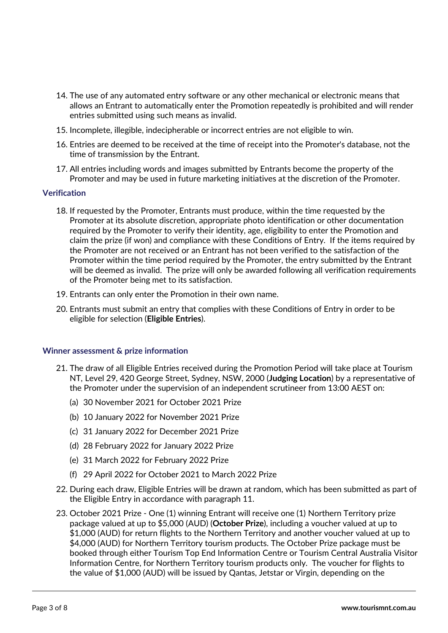- 14. The use of any automated entry software or any other mechanical or electronic means that allows an Entrant to automatically enter the Promotion repeatedly is prohibited and will render entries submitted using such means as invalid.
- 15. Incomplete, illegible, indecipherable or incorrect entries are not eligible to win.
- 16. Entries are deemed to be received at the time of receipt into the Promoter's database, not the time of transmission by the Entrant.
- 17. All entries including words and images submitted by Entrants become the property of the Promoter and may be used in future marketing initiatives at the discretion of the Promoter.

## **Verification**

- 18. If requested by the Promoter, Entrants must produce, within the time requested by the Promoter at its absolute discretion, appropriate photo identification or other documentation required by the Promoter to verify their identity, age, eligibility to enter the Promotion and claim the prize (if won) and compliance with these Conditions of Entry. If the items required by the Promoter are not received or an Entrant has not been verified to the satisfaction of the Promoter within the time period required by the Promoter, the entry submitted by the Entrant will be deemed as invalid. The prize will only be awarded following all verification requirements of the Promoter being met to its satisfaction.
- 19. Entrants can only enter the Promotion in their own name.
- 20. Entrants must submit an entry that complies with these Conditions of Entry in order to be eligible for selection (Eligible Entries).

#### Winner assessment & prize information

- 21. The draw of all Eligible Entries received during the Promotion Period will take place at Tourism NT, Level 29, 420 George Street, Sydney, NSW, 2000 (Judging Location) by a representative of the Promoter under the supervision of an independent scrutineer from 13:00 AEST on:
	- (a) 30 November 2021 for October 2021 Prize
	- (b) 10 January 2022 for November 2021 Prize
	- (c) 31 January 2022 for December 2021 Prize
	- (d) 28 February 2022 for January 2022 Prize
	- (e) 31 March 2022 for February 2022 Prize
	- (f) 29 April 2022 for October 2021 to March 2022 Prize
- 22. During each draw, Eligible Entries will be drawn at random, which has been submitted as part of the Eligible Entry in accordance with paragraph 11.
- 23. October 2021 Prize One (1) winning Entrant will receive one (1) Northern Territory prize package valued at up to \$5,000 (AUD) (October Prize), including a voucher valued at up to \$1,000 (AUD) for return flights to the Northern Territory and another voucher valued at up to \$4,000 (AUD) for Northern Territory tourism products. The October Prize package must be booked through either Tourism Top End Information Centre or Tourism Central Australia Visitor Information Centre, for Northern Territory tourism products only. The voucher for flights to the value of \$1,000 (AUD) will be issued by Qantas, Jetstar or Virgin, depending on the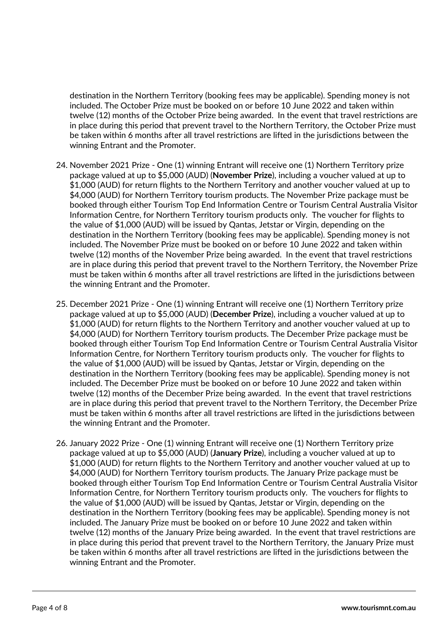destination in the Northern Territory (booking fees may be applicable). Spending money is not included. The October Prize must be booked on or before 10 June 2022 and taken within twelve (12) months of the October Prize being awarded. In the event that travel restrictions are in place during this period that prevent travel to the Northern Territory, the October Prize must be taken within 6 months after all travel restrictions are lifted in the jurisdictions between the winning Entrant and the Promoter.

- 24. November 2021 Prize One (1) winning Entrant will receive one (1) Northern Territory prize package valued at up to \$5,000 (AUD) (November Prize), including a voucher valued at up to \$1,000 (AUD) for return flights to the Northern Territory and another voucher valued at up to \$4,000 (AUD) for Northern Territory tourism products. The November Prize package must be booked through either Tourism Top End Information Centre or Tourism Central Australia Visitor Information Centre, for Northern Territory tourism products only. The voucher for flights to the value of \$1,000 (AUD) will be issued by Qantas, Jetstar or Virgin, depending on the destination in the Northern Territory (booking fees may be applicable). Spending money is not included. The November Prize must be booked on or before 10 June 2022 and taken within twelve (12) months of the November Prize being awarded. In the event that travel restrictions are in place during this period that prevent travel to the Northern Territory, the November Prize must be taken within 6 months after all travel restrictions are lifted in the jurisdictions between the winning Entrant and the Promoter.
- 25. December 2021 Prize One (1) winning Entrant will receive one (1) Northern Territory prize package valued at up to \$5,000 (AUD) (December Prize), including a voucher valued at up to \$1,000 (AUD) for return flights to the Northern Territory and another voucher valued at up to \$4,000 (AUD) for Northern Territory tourism products. The December Prize package must be booked through either Tourism Top End Information Centre or Tourism Central Australia Visitor Information Centre, for Northern Territory tourism products only. The voucher for flights to the value of \$1,000 (AUD) will be issued by Qantas, Jetstar or Virgin, depending on the destination in the Northern Territory (booking fees may be applicable). Spending money is not included. The December Prize must be booked on or before 10 June 2022 and taken within twelve (12) months of the December Prize being awarded. In the event that travel restrictions are in place during this period that prevent travel to the Northern Territory, the December Prize must be taken within 6 months after all travel restrictions are lifted in the jurisdictions between the winning Entrant and the Promoter.
- 26. January 2022 Prize One (1) winning Entrant will receive one (1) Northern Territory prize package valued at up to \$5,000 (AUD) (January Prize), including a voucher valued at up to \$1,000 (AUD) for return flights to the Northern Territory and another voucher valued at up to \$4,000 (AUD) for Northern Territory tourism products. The January Prize package must be booked through either Tourism Top End Information Centre or Tourism Central Australia Visitor Information Centre, for Northern Territory tourism products only. The vouchers for flights to the value of \$1,000 (AUD) will be issued by Qantas, Jetstar or Virgin, depending on the destination in the Northern Territory (booking fees may be applicable). Spending money is not included. The January Prize must be booked on or before 10 June 2022 and taken within twelve (12) months of the January Prize being awarded. In the event that travel restrictions are in place during this period that prevent travel to the Northern Territory, the January Prize must be taken within 6 months after all travel restrictions are lifted in the jurisdictions between the winning Entrant and the Promoter.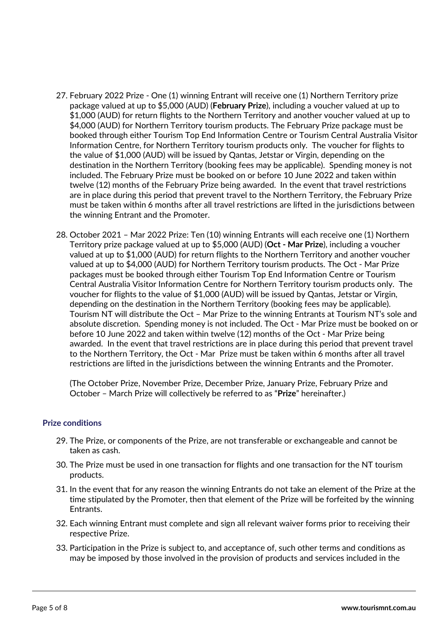- 27. February 2022 Prize One (1) winning Entrant will receive one (1) Northern Territory prize package valued at up to \$5,000 (AUD) (February Prize), including a voucher valued at up to \$1,000 (AUD) for return flights to the Northern Territory and another voucher valued at up to \$4,000 (AUD) for Northern Territory tourism products. The February Prize package must be booked through either Tourism Top End Information Centre or Tourism Central Australia Visitor Information Centre, for Northern Territory tourism products only. The voucher for flights to the value of \$1,000 (AUD) will be issued by Qantas, Jetstar or Virgin, depending on the destination in the Northern Territory (booking fees may be applicable). Spending money is not included. The February Prize must be booked on or before 10 June 2022 and taken within twelve (12) months of the February Prize being awarded. In the event that travel restrictions are in place during this period that prevent travel to the Northern Territory, the February Prize must be taken within 6 months after all travel restrictions are lifted in the jurisdictions between the winning Entrant and the Promoter.
- 28. October 2021 Mar 2022 Prize: Ten (10) winning Entrants will each receive one (1) Northern Territory prize package valued at up to \$5,000 (AUD) (Oct - Mar Prize), including a voucher valued at up to \$1,000 (AUD) for return flights to the Northern Territory and another voucher valued at up to \$4,000 (AUD) for Northern Territory tourism products. The Oct - Mar Prize packages must be booked through either Tourism Top End Information Centre or Tourism Central Australia Visitor Information Centre for Northern Territory tourism products only. The voucher for flights to the value of \$1,000 (AUD) will be issued by Qantas, Jetstar or Virgin, depending on the destination in the Northern Territory (booking fees may be applicable). Tourism NT will distribute the Oct – Mar Prize to the winning Entrants at Tourism NT's sole and absolute discretion. Spending money is not included. The Oct - Mar Prize must be booked on or before 10 June 2022 and taken within twelve (12) months of the Oct - Mar Prize being awarded. In the event that travel restrictions are in place during this period that prevent travel to the Northern Territory, the Oct - Mar Prize must be taken within 6 months after all travel restrictions are lifted in the jurisdictions between the winning Entrants and the Promoter.

(The October Prize, November Prize, December Prize, January Prize, February Prize and October - March Prize will collectively be referred to as "Prize" hereinafter.)

#### Prize conditions

- 29. The Prize, or components of the Prize, are not transferable or exchangeable and cannot be taken as cash.
- 30. The Prize must be used in one transaction for flights and one transaction for the NT tourism products.
- 31. In the event that for any reason the winning Entrants do not take an element of the Prize at the time stipulated by the Promoter, then that element of the Prize will be forfeited by the winning Entrants.
- 32. Each winning Entrant must complete and sign all relevant waiver forms prior to receiving their respective Prize.
- 33. Participation in the Prize is subject to, and acceptance of, such other terms and conditions as may be imposed by those involved in the provision of products and services included in the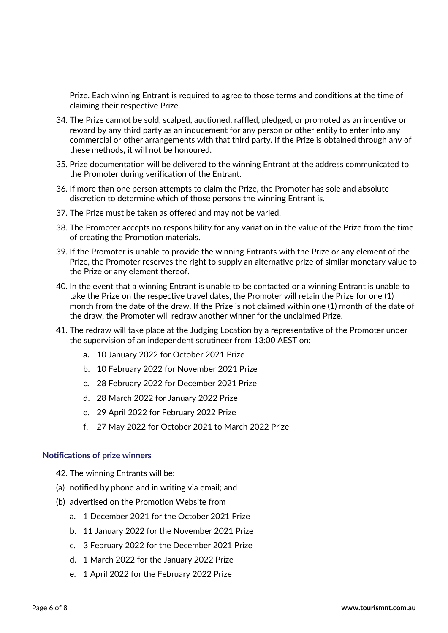Prize. Each winning Entrant is required to agree to those terms and conditions at the time of claiming their respective Prize.

- 34. The Prize cannot be sold, scalped, auctioned, raffled, pledged, or promoted as an incentive or reward by any third party as an inducement for any person or other entity to enter into any commercial or other arrangements with that third party. If the Prize is obtained through any of these methods, it will not be honoured.
- 35. Prize documentation will be delivered to the winning Entrant at the address communicated to the Promoter during verification of the Entrant.
- 36. If more than one person attempts to claim the Prize, the Promoter has sole and absolute discretion to determine which of those persons the winning Entrant is.
- 37. The Prize must be taken as offered and may not be varied.
- 38. The Promoter accepts no responsibility for any variation in the value of the Prize from the time of creating the Promotion materials.
- 39. If the Promoter is unable to provide the winning Entrants with the Prize or any element of the Prize, the Promoter reserves the right to supply an alternative prize of similar monetary value to the Prize or any element thereof.
- 40. In the event that a winning Entrant is unable to be contacted or a winning Entrant is unable to take the Prize on the respective travel dates, the Promoter will retain the Prize for one (1) month from the date of the draw. If the Prize is not claimed within one (1) month of the date of the draw, the Promoter will redraw another winner for the unclaimed Prize.
- 41. The redraw will take place at the Judging Location by a representative of the Promoter under the supervision of an independent scrutineer from 13:00 AEST on:
	- a. 10 January 2022 for October 2021 Prize
	- b. 10 February 2022 for November 2021 Prize
	- c. 28 February 2022 for December 2021 Prize
	- d. 28 March 2022 for January 2022 Prize
	- e. 29 April 2022 for February 2022 Prize
	- f. 27 May 2022 for October 2021 to March 2022 Prize

#### Notifications of prize winners

- 42. The winning Entrants will be:
- (a) notified by phone and in writing via email; and
- (b) advertised on the Promotion Website from
	- a. 1 December 2021 for the October 2021 Prize
	- b. 11 January 2022 for the November 2021 Prize
	- c. 3 February 2022 for the December 2021 Prize
	- d. 1 March 2022 for the January 2022 Prize
	- e. 1 April 2022 for the February 2022 Prize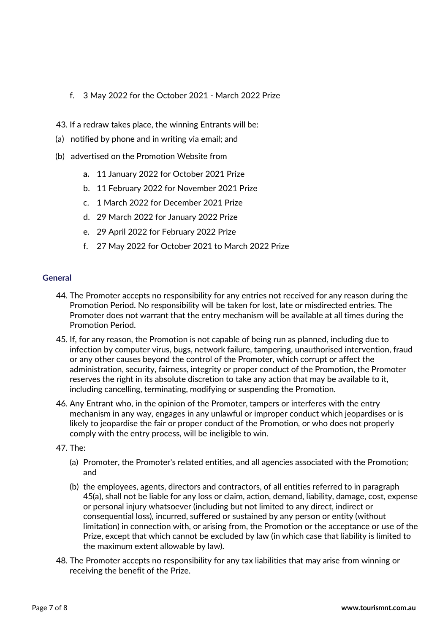- f. 3 May 2022 for the October 2021 March 2022 Prize
- 43. If a redraw takes place, the winning Entrants will be:
- (a) notified by phone and in writing via email; and
- (b) advertised on the Promotion Website from
	- a. 11 January 2022 for October 2021 Prize
	- b. 11 February 2022 for November 2021 Prize
	- c. 1 March 2022 for December 2021 Prize
	- d. 29 March 2022 for January 2022 Prize
	- e. 29 April 2022 for February 2022 Prize
	- f. 27 May 2022 for October 2021 to March 2022 Prize

### General

- 44. The Promoter accepts no responsibility for any entries not received for any reason during the Promotion Period. No responsibility will be taken for lost, late or misdirected entries. The Promoter does not warrant that the entry mechanism will be available at all times during the Promotion Period.
- 45. If, for any reason, the Promotion is not capable of being run as planned, including due to infection by computer virus, bugs, network failure, tampering, unauthorised intervention, fraud or any other causes beyond the control of the Promoter, which corrupt or affect the administration, security, fairness, integrity or proper conduct of the Promotion, the Promoter reserves the right in its absolute discretion to take any action that may be available to it, including cancelling, terminating, modifying or suspending the Promotion.
- 46. Any Entrant who, in the opinion of the Promoter, tampers or interferes with the entry mechanism in any way, engages in any unlawful or improper conduct which jeopardises or is likely to jeopardise the fair or proper conduct of the Promotion, or who does not properly comply with the entry process, will be ineligible to win.
- 47. The:
	- (a) Promoter, the Promoter's related entities, and all agencies associated with the Promotion; and
	- (b) the employees, agents, directors and contractors, of all entities referred to in paragraph 45(a), shall not be liable for any loss or claim, action, demand, liability, damage, cost, expense or personal injury whatsoever (including but not limited to any direct, indirect or consequential loss), incurred, suffered or sustained by any person or entity (without limitation) in connection with, or arising from, the Promotion or the acceptance or use of the Prize, except that which cannot be excluded by law (in which case that liability is limited to the maximum extent allowable by law).
- 48. The Promoter accepts no responsibility for any tax liabilities that may arise from winning or receiving the benefit of the Prize.